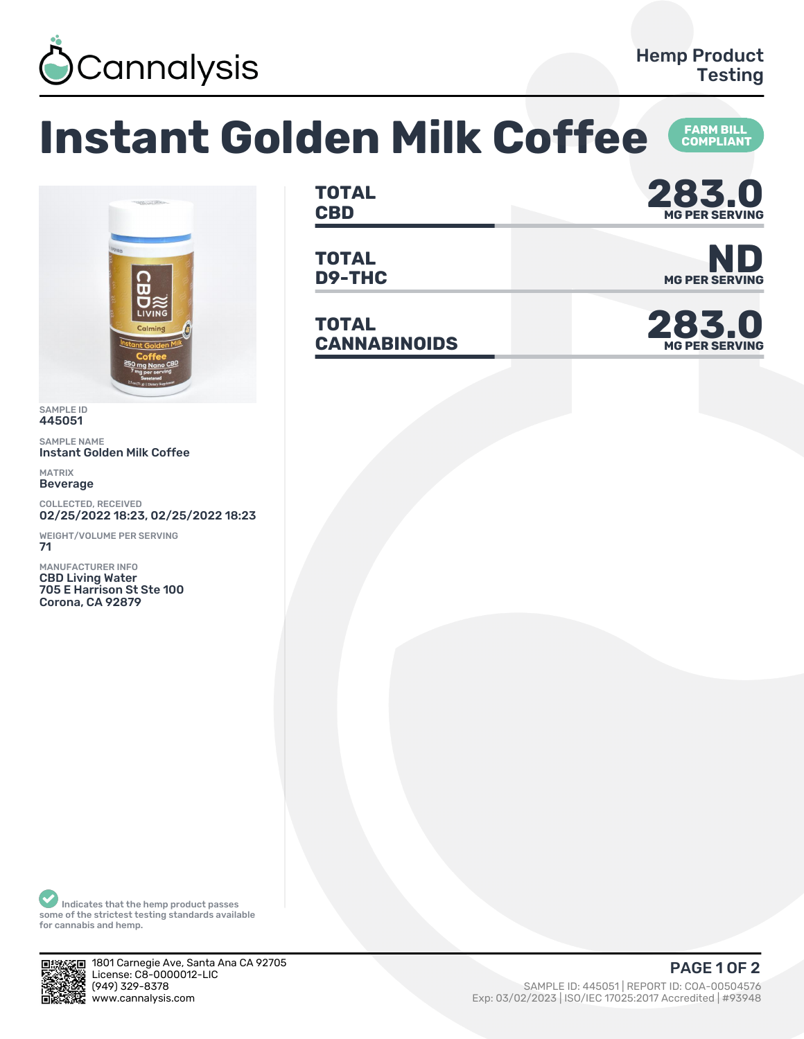

## **Instant Golden Milk Coffee FARM BILL<br>COMPLIANT**



SAMPLE ID 445051

SAMPLE NAME Instant Golden Milk Coffee

MATRIX Beverage

COLLECTED, RECEIVED 02/25/2022 18:23, 02/25/2022 18:23

WEIGHT/VOLUME PER SERVING 71

MANUFACTURER INFO CBD Living Water 705 E Harrison St Ste 100 Corona, CA 92879

**TOTAL** TOTAL **283.0 MG PER SERVING**

**TOTAL**

**TOTAL** TOTAL<br>CANNABINOIDS



**MG PER SERVING**

Indicates that the hemp product passes some of the strictest testing standards available for cannabis and hemp.



1801 Carnegie Ave, Santa Ana CA 92705 License: C8-0000012-LIC<br>(949) 329-8378